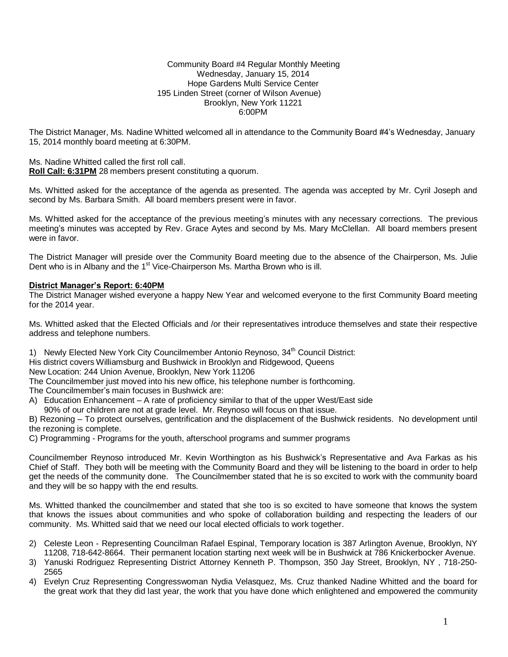## Community Board #4 Regular Monthly Meeting Wednesday, January 15, 2014 Hope Gardens Multi Service Center 195 Linden Street (corner of Wilson Avenue) Brooklyn, New York 11221 6:00PM

The District Manager, Ms. Nadine Whitted welcomed all in attendance to the Community Board #4's Wednesday, January 15, 2014 monthly board meeting at 6:30PM.

Ms. Nadine Whitted called the first roll call.

**Roll Call: 6:31PM** 28 members present constituting a quorum.

Ms. Whitted asked for the acceptance of the agenda as presented. The agenda was accepted by Mr. Cyril Joseph and second by Ms. Barbara Smith. All board members present were in favor.

Ms. Whitted asked for the acceptance of the previous meeting's minutes with any necessary corrections. The previous meeting's minutes was accepted by Rev. Grace Aytes and second by Ms. Mary McClellan. All board members present were in favor.

The District Manager will preside over the Community Board meeting due to the absence of the Chairperson, Ms. Julie Dent who is in Albany and the 1<sup>st</sup> Vice-Chairperson Ms. Martha Brown who is ill.

## **District Manager's Report: 6:40PM**

The District Manager wished everyone a happy New Year and welcomed everyone to the first Community Board meeting for the 2014 year.

Ms. Whitted asked that the Elected Officials and /or their representatives introduce themselves and state their respective address and telephone numbers.

1) Newly Elected New York City Councilmember Antonio Reynoso, 34<sup>th</sup> Council District:

His district covers Williamsburg and Bushwick in Brooklyn and Ridgewood, Queens

New Location: 244 Union Avenue, Brooklyn, New York 11206

The Councilmember just moved into his new office, his telephone number is forthcoming.

The Councilmember's main focuses in Bushwick are:

- A) Education Enhancement A rate of proficiency similar to that of the upper West/East side
- 90% of our children are not at grade level. Mr. Reynoso will focus on that issue.

B) Rezoning – To protect ourselves, gentrification and the displacement of the Bushwick residents. No development until the rezoning is complete.

C) Programming - Programs for the youth, afterschool programs and summer programs

Councilmember Reynoso introduced Mr. Kevin Worthington as his Bushwick's Representative and Ava Farkas as his Chief of Staff. They both will be meeting with the Community Board and they will be listening to the board in order to help get the needs of the community done. The Councilmember stated that he is so excited to work with the community board and they will be so happy with the end results.

Ms. Whitted thanked the councilmember and stated that she too is so excited to have someone that knows the system that knows the issues about communities and who spoke of collaboration building and respecting the leaders of our community. Ms. Whitted said that we need our local elected officials to work together.

- 2) Celeste Leon Representing Councilman Rafael Espinal, Temporary location is 387 Arlington Avenue, Brooklyn, NY 11208, 718-642-8664. Their permanent location starting next week will be in Bushwick at 786 Knickerbocker Avenue.
- 3) Yanuski Rodriguez Representing District Attorney Kenneth P. Thompson, 350 Jay Street, Brooklyn, NY , 718-250- 2565
- 4) Evelyn Cruz Representing Congresswoman Nydia Velasquez, Ms. Cruz thanked Nadine Whitted and the board for the great work that they did last year, the work that you have done which enlightened and empowered the community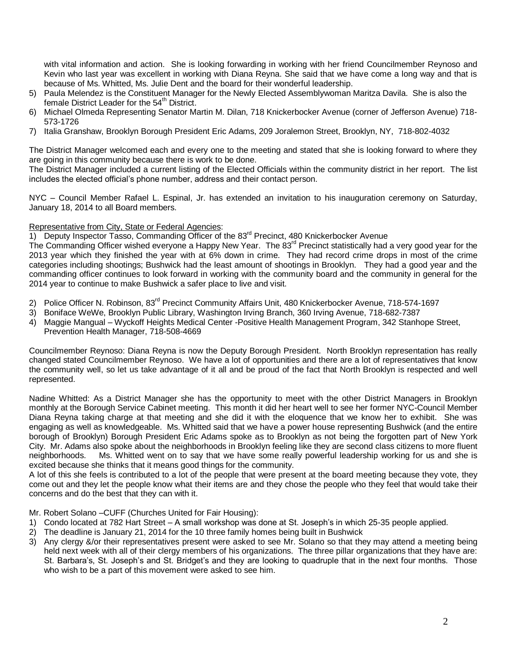with vital information and action. She is looking forwarding in working with her friend Councilmember Reynoso and Kevin who last year was excellent in working with Diana Reyna. She said that we have come a long way and that is because of Ms. Whitted, Ms. Julie Dent and the board for their wonderful leadership.

- 5) Paula Melendez is the Constituent Manager for the Newly Elected Assemblywoman Maritza Davila. She is also the female District Leader for the 54<sup>th</sup> District.
- 6) Michael Olmeda Representing Senator Martin M. Dilan, 718 Knickerbocker Avenue (corner of Jefferson Avenue) 718- 573-1726
- 7) Italia Granshaw, Brooklyn Borough President Eric Adams, 209 Joralemon Street, Brooklyn, NY, 718-802-4032

The District Manager welcomed each and every one to the meeting and stated that she is looking forward to where they are going in this community because there is work to be done.

The District Manager included a current listing of the Elected Officials within the community district in her report. The list includes the elected official's phone number, address and their contact person.

NYC – Council Member Rafael L. Espinal, Jr. has extended an invitation to his inauguration ceremony on Saturday, January 18, 2014 to all Board members.

## Representative from City, State or Federal Agencies:

1) Deputy Inspector Tasso, Commanding Officer of the 83<sup>rd</sup> Precinct, 480 Knickerbocker Avenue

The Commanding Officer wished everyone a Happy New Year. The 83<sup>rd</sup> Precinct statistically had a very good year for the 2013 year which they finished the year with at 6% down in crime. They had record crime drops in most of the crime categories including shootings; Bushwick had the least amount of shootings in Brooklyn. They had a good year and the commanding officer continues to look forward in working with the community board and the community in general for the 2014 year to continue to make Bushwick a safer place to live and visit.

- 2) Police Officer N. Robinson, 83<sup>rd</sup> Precinct Community Affairs Unit, 480 Knickerbocker Avenue, 718-574-1697
- 3) Boniface WeWe, Brooklyn Public Library, Washington Irving Branch, 360 Irving Avenue, 718-682-7387
- 4) Maggie Mangual Wyckoff Heights Medical Center -Positive Health Management Program, 342 Stanhope Street,
- Prevention Health Manager, 718-508-4669

Councilmember Reynoso: Diana Reyna is now the Deputy Borough President. North Brooklyn representation has really changed stated Councilmember Reynoso. We have a lot of opportunities and there are a lot of representatives that know the community well, so let us take advantage of it all and be proud of the fact that North Brooklyn is respected and well represented.

Nadine Whitted: As a District Manager she has the opportunity to meet with the other District Managers in Brooklyn monthly at the Borough Service Cabinet meeting. This month it did her heart well to see her former NYC-Council Member Diana Reyna taking charge at that meeting and she did it with the eloquence that we know her to exhibit. She was engaging as well as knowledgeable. Ms. Whitted said that we have a power house representing Bushwick (and the entire borough of Brooklyn) Borough President Eric Adams spoke as to Brooklyn as not being the forgotten part of New York City. Mr. Adams also spoke about the neighborhoods in Brooklyn feeling like they are second class citizens to more fluent neighborhoods. Ms. Whitted went on to say that we have some really powerful leadership working for us and she is excited because she thinks that it means good things for the community.

A lot of this she feels is contributed to a lot of the people that were present at the board meeting because they vote, they come out and they let the people know what their items are and they chose the people who they feel that would take their concerns and do the best that they can with it.

Mr. Robert Solano –CUFF (Churches United for Fair Housing):

- 1) Condo located at 782 Hart Street A small workshop was done at St. Joseph's in which 25-35 people applied.
- 2) The deadline is January 21, 2014 for the 10 three family homes being built in Bushwick
- 3) Any clergy &/or their representatives present were asked to see Mr. Solano so that they may attend a meeting being held next week with all of their clergy members of his organizations. The three pillar organizations that they have are: St. Barbara's, St. Joseph's and St. Bridget's and they are looking to quadruple that in the next four months. Those who wish to be a part of this movement were asked to see him.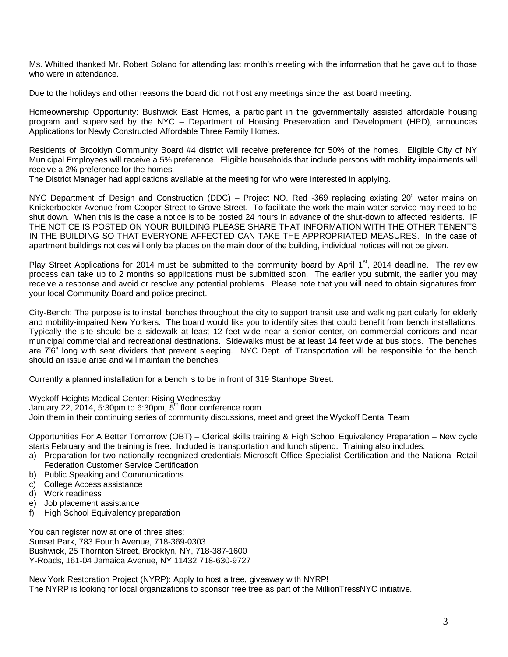Ms. Whitted thanked Mr. Robert Solano for attending last month's meeting with the information that he gave out to those who were in attendance.

Due to the holidays and other reasons the board did not host any meetings since the last board meeting.

Homeownership Opportunity: Bushwick East Homes, a participant in the governmentally assisted affordable housing program and supervised by the NYC – Department of Housing Preservation and Development (HPD), announces Applications for Newly Constructed Affordable Three Family Homes.

Residents of Brooklyn Community Board #4 district will receive preference for 50% of the homes. Eligible City of NY Municipal Employees will receive a 5% preference. Eligible households that include persons with mobility impairments will receive a 2% preference for the homes.

The District Manager had applications available at the meeting for who were interested in applying.

NYC Department of Design and Construction (DDC) – Project NO. Red -369 replacing existing 20" water mains on Knickerbocker Avenue from Cooper Street to Grove Street. To facilitate the work the main water service may need to be shut down. When this is the case a notice is to be posted 24 hours in advance of the shut-down to affected residents. IF THE NOTICE IS POSTED ON YOUR BUILDING PLEASE SHARE THAT INFORMATION WITH THE OTHER TENENTS IN THE BUILDING SO THAT EVERYONE AFFECTED CAN TAKE THE APPROPRIATED MEASURES. In the case of apartment buildings notices will only be places on the main door of the building, individual notices will not be given.

Play Street Applications for 2014 must be submitted to the community board by April  $1<sup>st</sup>$ , 2014 deadline. The review process can take up to 2 months so applications must be submitted soon. The earlier you submit, the earlier you may receive a response and avoid or resolve any potential problems. Please note that you will need to obtain signatures from your local Community Board and police precinct.

City-Bench: The purpose is to install benches throughout the city to support transit use and walking particularly for elderly and mobility-impaired New Yorkers. The board would like you to identify sites that could benefit from bench installations. Typically the site should be a sidewalk at least 12 feet wide near a senior center, on commercial corridors and near municipal commercial and recreational destinations. Sidewalks must be at least 14 feet wide at bus stops. The benches are 7'6" long with seat dividers that prevent sleeping. NYC Dept. of Transportation will be responsible for the bench should an issue arise and will maintain the benches.

Currently a planned installation for a bench is to be in front of 319 Stanhope Street.

Wyckoff Heights Medical Center: Rising Wednesday

January 22, 2014, 5:30pm to 6:30pm,  $\overline{5}^{\text{th}}$  floor conference room

Join them in their continuing series of community discussions, meet and greet the Wyckoff Dental Team

Opportunities For A Better Tomorrow (OBT) – Clerical skills training & High School Equivalency Preparation – New cycle starts February and the training is free. Included is transportation and lunch stipend. Training also includes:

- a) Preparation for two nationally recognized credentials-Microsoft Office Specialist Certification and the National Retail Federation Customer Service Certification
- b) Public Speaking and Communications
- c) College Access assistance
- d) Work readiness
- e) Job placement assistance
- f) High School Equivalency preparation

You can register now at one of three sites: Sunset Park, 783 Fourth Avenue, 718-369-0303 Bushwick, 25 Thornton Street, Brooklyn, NY, 718-387-1600 Y-Roads, 161-04 Jamaica Avenue, NY 11432 718-630-9727

New York Restoration Project (NYRP): Apply to host a tree, giveaway with NYRP! The NYRP is looking for local organizations to sponsor free tree as part of the MillionTressNYC initiative.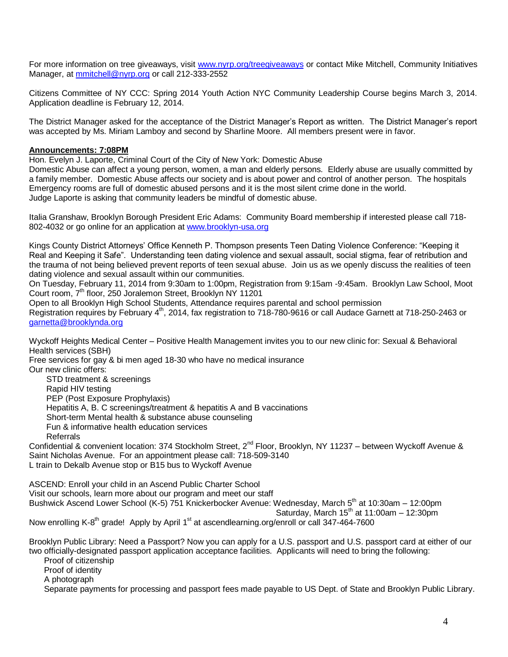For more information on tree giveaways, visit [www.nyrp.org/treegiveaways](http://www.nyrp.org/treegiveaways) or contact Mike Mitchell, Community Initiatives Manager, at [mmitchell@nyrp.org](mailto:mmitchell@nyrp.org) or call 212-333-2552

Citizens Committee of NY CCC: Spring 2014 Youth Action NYC Community Leadership Course begins March 3, 2014. Application deadline is February 12, 2014.

The District Manager asked for the acceptance of the District Manager's Report as written. The District Manager's report was accepted by Ms. Miriam Lamboy and second by Sharline Moore. All members present were in favor.

## **Announcements: 7:08PM**

Hon. Evelyn J. Laporte, Criminal Court of the City of New York: Domestic Abuse

Domestic Abuse can affect a young person, women, a man and elderly persons. Elderly abuse are usually committed by a family member. Domestic Abuse affects our society and is about power and control of another person. The hospitals Emergency rooms are full of domestic abused persons and it is the most silent crime done in the world. Judge Laporte is asking that community leaders be mindful of domestic abuse.

Italia Granshaw, Brooklyn Borough President Eric Adams: Community Board membership if interested please call 718- 802-4032 or go online for an application at [www.brooklyn-usa.org](http://www.brooklyn-usa.org/)

Kings County District Attorneys' Office Kenneth P. Thompson presents Teen Dating Violence Conference: "Keeping it Real and Keeping it Safe". Understanding teen dating violence and sexual assault, social stigma, fear of retribution and the trauma of not being believed prevent reports of teen sexual abuse. Join us as we openly discuss the realities of teen dating violence and sexual assault within our communities.

On Tuesday, February 11, 2014 from 9:30am to 1:00pm, Registration from 9:15am -9:45am. Brooklyn Law School, Moot Court room, 7th floor, 250 Joralemon Street, Brooklyn NY 11201

Open to all Brooklyn High School Students, Attendance requires parental and school permission Registration requires by February 4<sup>th</sup>, 2014, fax registration to 718-780-9616 or call Audace Garnett at 718-250-2463 or [garnetta@brooklynda.org](mailto:garnetta@brooklynda.org) 

Wyckoff Heights Medical Center – Positive Health Management invites you to our new clinic for: Sexual & Behavioral Health services (SBH)

Free services for gay & bi men aged 18-30 who have no medical insurance Our new clinic offers:

STD treatment & screenings Rapid HIV testing PEP (Post Exposure Prophylaxis) Hepatitis A, B. C screenings/treatment & hepatitis A and B vaccinations Short-term Mental health & substance abuse counseling Fun & informative health education services Referrals

Confidential & convenient location: 374 Stockholm Street, 2<sup>nd</sup> Floor, Brooklyn, NY 11237 – between Wyckoff Avenue & Saint Nicholas Avenue. For an appointment please call: 718-509-3140 L train to Dekalb Avenue stop or B15 bus to Wyckoff Avenue

ASCEND: Enroll your child in an Ascend Public Charter School Visit our schools, learn more about our program and meet our staff Bushwick Ascend Lower School (K-5) 751 Knickerbocker Avenue: Wednesday, March 5<sup>th</sup> at 10:30am – 12:00pm  $Saturday$ , March 15<sup>th</sup> at 11:00am – 12:30pm Now enrolling K-8<sup>th</sup> grade! Apply by April 1<sup>st</sup> at ascendlearning.org/enroll or call 347-464-7600

Brooklyn Public Library: Need a Passport? Now you can apply for a U.S. passport and U.S. passport card at either of our two officially-designated passport application acceptance facilities. Applicants will need to bring the following:

Proof of citizenship Proof of identity A photograph Separate payments for processing and passport fees made payable to US Dept. of State and Brooklyn Public Library.